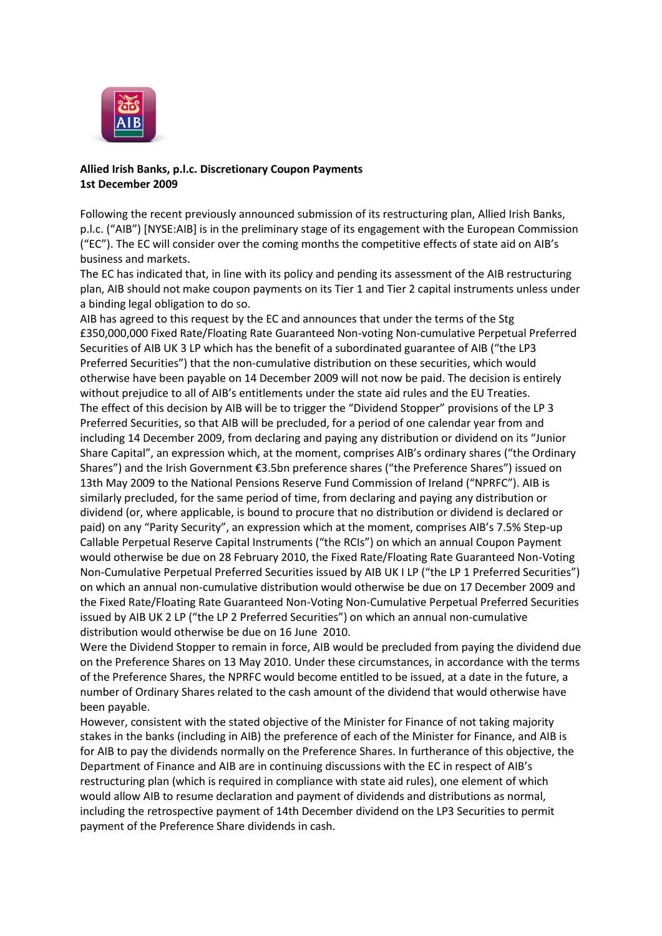

## **Allied Irish Banks, p.l.c. Discretionary Coupon Payments 1st December 2009**

Following the recent previously announced submission of its restructuring plan, Allied Irish Banks, p.l.c. ("AIB") [NYSE:AIB] is in the preliminary stage of its engagement with the European Commission ("EC"). The EC will consider over the coming months the competitive effects of state aid on AIB's business and markets.

The EC has indicated that, in line with its policy and pending its assessment of the AIB restructuring plan, AIB should not make coupon payments on its Tier 1 and Tier 2 capital instruments unless under a binding legal obligation to do so.

AIB has agreed to this request by the EC and announces that under the terms of the Stg £350,000,000 Fixed Rate/Floating Rate Guaranteed Non-voting Non-cumulative Perpetual Preferred Securities of AIB UK 3 LP which has the benefit of a subordinated guarantee of AIB ("the LP3 Preferred Securities") that the non-cumulative distribution on these securities, which would otherwise have been payable on 14 December 2009 will not now be paid. The decision is entirely without prejudice to all of AIB's entitlements under the state aid rules and the EU Treaties. The effect of this decision by AIB will be to trigger the "Dividend Stopper" provisions of the LP 3 Preferred Securities, so that AIB will be precluded, for a period of one calendar year from and including 14 December 2009, from declaring and paying any distribution or dividend on its "Junior Share Capital", an expression which, at the moment, comprises AIB's ordinary shares ("the Ordinary Shares") and the Irish Government €3.5bn preference shares ("the Preference Shares") issued on 13th May 2009 to the National Pensions Reserve Fund Commission of Ireland ("NPRFC"). AIB is similarly precluded, for the same period of time, from declaring and paying any distribution or dividend (or, where applicable, is bound to procure that no distribution or dividend is declared or paid) on any "Parity Security", an expression which at the moment, comprises AIB's 7.5% Step-up Callable Perpetual Reserve Capital Instruments ("the RCIs") on which an annual Coupon Payment would otherwise be due on 28 February 2010, the Fixed Rate/Floating Rate Guaranteed Non-Voting Non-Cumulative Perpetual Preferred Securities issued by AIB UK I LP ("the LP 1 Preferred Securities") on which an annual non-cumulative distribution would otherwise be due on 17 December 2009 and the Fixed Rate/Floating Rate Guaranteed Non-Voting Non-Cumulative Perpetual Preferred Securities issued by AIB UK 2 LP ("the LP 2 Preferred Securities") on which an annual non-cumulative distribution would otherwise be due on 16 June 2010.

Were the Dividend Stopper to remain in force, AIB would be precluded from paying the dividend due on the Preference Shares on 13 May 2010. Under these circumstances, in accordance with the terms of the Preference Shares, the NPRFC would become entitled to be issued, at a date in the future, a number of Ordinary Shares related to the cash amount of the dividend that would otherwise have been payable.

However, consistent with the stated objective of the Minister for Finance of not taking majority stakes in the banks (including in AIB) the preference of each of the Minister for Finance, and AIB is for AIB to pay the dividends normally on the Preference Shares. In furtherance of this objective, the Department of Finance and AIB are in continuing discussions with the EC in respect of AIB's restructuring plan (which is required in compliance with state aid rules), one element of which would allow AIB to resume declaration and payment of dividends and distributions as normal, including the retrospective payment of 14th December dividend on the LP3 Securities to permit payment of the Preference Share dividends in cash.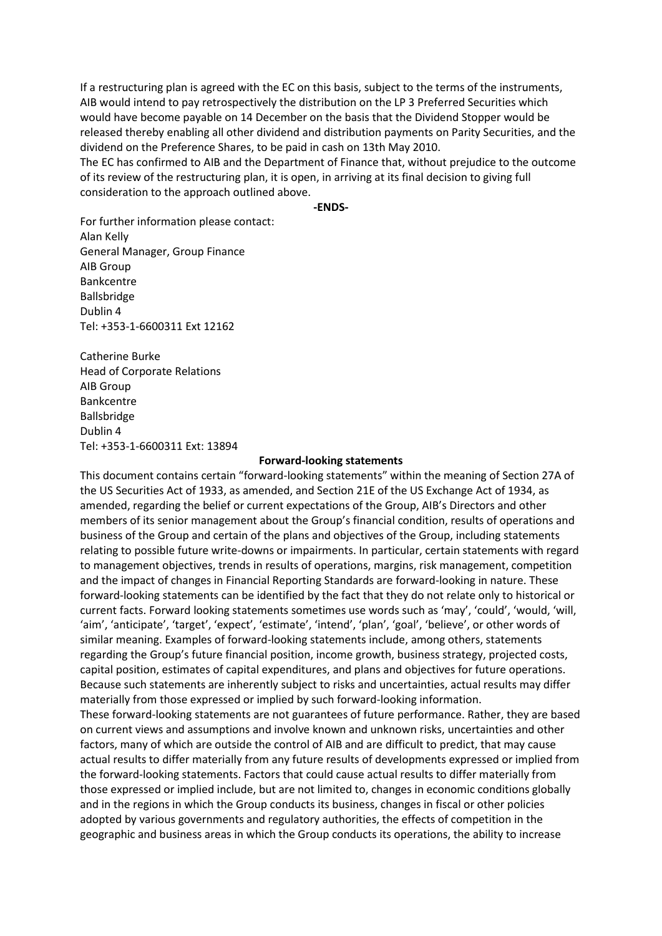If a restructuring plan is agreed with the EC on this basis, subject to the terms of the instruments, AIB would intend to pay retrospectively the distribution on the LP 3 Preferred Securities which would have become payable on 14 December on the basis that the Dividend Stopper would be released thereby enabling all other dividend and distribution payments on Parity Securities, and the dividend on the Preference Shares, to be paid in cash on 13th May 2010.

The EC has confirmed to AIB and the Department of Finance that, without prejudice to the outcome of its review of the restructuring plan, it is open, in arriving at its final decision to giving full consideration to the approach outlined above.

**-ENDS-**

For further information please contact: Alan Kelly General Manager, Group Finance AIB Group Bankcentre Ballsbridge Dublin 4 Tel: +353-1-6600311 Ext 12162

Catherine Burke Head of Corporate Relations AIB Group Bankcentre Ballsbridge Dublin 4 Tel: +353-1-6600311 Ext: 13894

## **Forward-looking statements**

This document contains certain "forward-looking statements" within the meaning of Section 27A of the US Securities Act of 1933, as amended, and Section 21E of the US Exchange Act of 1934, as amended, regarding the belief or current expectations of the Group, AIB's Directors and other members of its senior management about the Group's financial condition, results of operations and business of the Group and certain of the plans and objectives of the Group, including statements relating to possible future write-downs or impairments. In particular, certain statements with regard to management objectives, trends in results of operations, margins, risk management, competition and the impact of changes in Financial Reporting Standards are forward-looking in nature. These forward-looking statements can be identified by the fact that they do not relate only to historical or current facts. Forward looking statements sometimes use words such as 'may', 'could', 'would, 'will, 'aim', 'anticipate', 'target', 'expect', 'estimate', 'intend', 'plan', 'goal', 'believe', or other words of similar meaning. Examples of forward-looking statements include, among others, statements regarding the Group's future financial position, income growth, business strategy, projected costs, capital position, estimates of capital expenditures, and plans and objectives for future operations. Because such statements are inherently subject to risks and uncertainties, actual results may differ materially from those expressed or implied by such forward-looking information. These forward-looking statements are not guarantees of future performance. Rather, they are based on current views and assumptions and involve known and unknown risks, uncertainties and other factors, many of which are outside the control of AIB and are difficult to predict, that may cause actual results to differ materially from any future results of developments expressed or implied from the forward-looking statements. Factors that could cause actual results to differ materially from those expressed or implied include, but are not limited to, changes in economic conditions globally and in the regions in which the Group conducts its business, changes in fiscal or other policies adopted by various governments and regulatory authorities, the effects of competition in the geographic and business areas in which the Group conducts its operations, the ability to increase